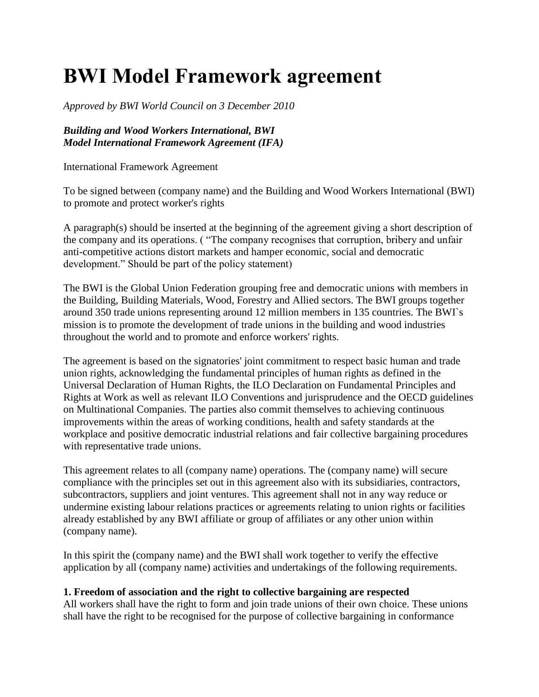# **BWI Model Framework agreement**

*Approved by BWI World Council on 3 December 2010* 

# *Building and Wood Workers International, BWI Model International Framework Agreement (IFA)*

International Framework Agreement

To be signed between (company name) and the Building and Wood Workers International (BWI) to promote and protect worker's rights

A paragraph(s) should be inserted at the beginning of the agreement giving a short description of the company and its operations. ( "The company recognises that corruption, bribery and unfair anti-competitive actions distort markets and hamper economic, social and democratic development." Should be part of the policy statement)

The BWI is the Global Union Federation grouping free and democratic unions with members in the Building, Building Materials, Wood, Forestry and Allied sectors. The BWI groups together around 350 trade unions representing around 12 million members in 135 countries. The BWI`s mission is to promote the development of trade unions in the building and wood industries throughout the world and to promote and enforce workers' rights.

The agreement is based on the signatories' joint commitment to respect basic human and trade union rights, acknowledging the fundamental principles of human rights as defined in the Universal Declaration of Human Rights, the ILO Declaration on Fundamental Principles and Rights at Work as well as relevant ILO Conventions and jurisprudence and the OECD guidelines on Multinational Companies. The parties also commit themselves to achieving continuous improvements within the areas of working conditions, health and safety standards at the workplace and positive democratic industrial relations and fair collective bargaining procedures with representative trade unions.

This agreement relates to all (company name) operations. The (company name) will secure compliance with the principles set out in this agreement also with its subsidiaries, contractors, subcontractors, suppliers and joint ventures. This agreement shall not in any way reduce or undermine existing labour relations practices or agreements relating to union rights or facilities already established by any BWI affiliate or group of affiliates or any other union within (company name).

In this spirit the (company name) and the BWI shall work together to verify the effective application by all (company name) activities and undertakings of the following requirements.

# **1. Freedom of association and the right to collective bargaining are respected**

All workers shall have the right to form and join trade unions of their own choice. These unions shall have the right to be recognised for the purpose of collective bargaining in conformance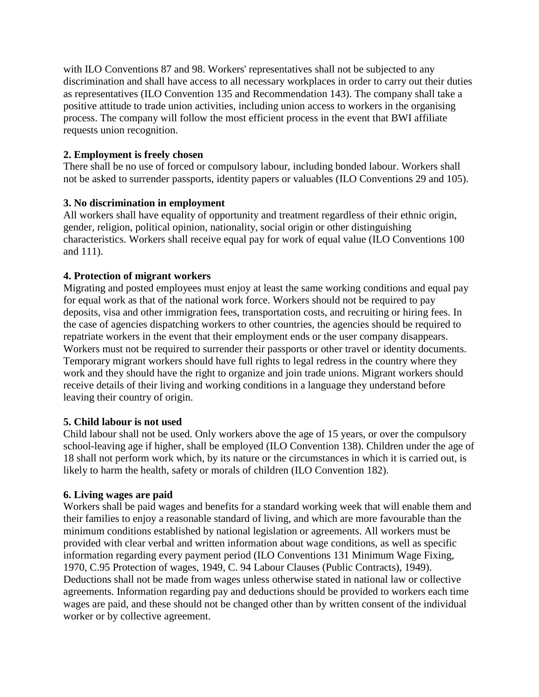with ILO Conventions 87 and 98. Workers' representatives shall not be subjected to any discrimination and shall have access to all necessary workplaces in order to carry out their duties as representatives (ILO Convention 135 and Recommendation 143). The company shall take a positive attitude to trade union activities, including union access to workers in the organising process. The company will follow the most efficient process in the event that BWI affiliate requests union recognition.

# **2. Employment is freely chosen**

There shall be no use of forced or compulsory labour, including bonded labour. Workers shall not be asked to surrender passports, identity papers or valuables (ILO Conventions 29 and 105).

# **3. No discrimination in employment**

All workers shall have equality of opportunity and treatment regardless of their ethnic origin, gender, religion, political opinion, nationality, social origin or other distinguishing characteristics. Workers shall receive equal pay for work of equal value (ILO Conventions 100 and 111).

# **4. Protection of migrant workers**

Migrating and posted employees must enjoy at least the same working conditions and equal pay for equal work as that of the national work force. Workers should not be required to pay deposits, visa and other immigration fees, transportation costs, and recruiting or hiring fees. In the case of agencies dispatching workers to other countries, the agencies should be required to repatriate workers in the event that their employment ends or the user company disappears. Workers must not be required to surrender their passports or other travel or identity documents. Temporary migrant workers should have full rights to legal redress in the country where they work and they should have the right to organize and join trade unions. Migrant workers should receive details of their living and working conditions in a language they understand before leaving their country of origin.

# **5. Child labour is not used**

Child labour shall not be used. Only workers above the age of 15 years, or over the compulsory school-leaving age if higher, shall be employed (ILO Convention 138). Children under the age of 18 shall not perform work which, by its nature or the circumstances in which it is carried out, is likely to harm the health, safety or morals of children (ILO Convention 182).

# **6. Living wages are paid**

Workers shall be paid wages and benefits for a standard working week that will enable them and their families to enjoy a reasonable standard of living, and which are more favourable than the minimum conditions established by national legislation or agreements. All workers must be provided with clear verbal and written information about wage conditions, as well as specific information regarding every payment period (ILO Conventions 131 Minimum Wage Fixing, 1970, C.95 Protection of wages, 1949, C. 94 Labour Clauses (Public Contracts), 1949). Deductions shall not be made from wages unless otherwise stated in national law or collective agreements. Information regarding pay and deductions should be provided to workers each time wages are paid, and these should not be changed other than by written consent of the individual worker or by collective agreement.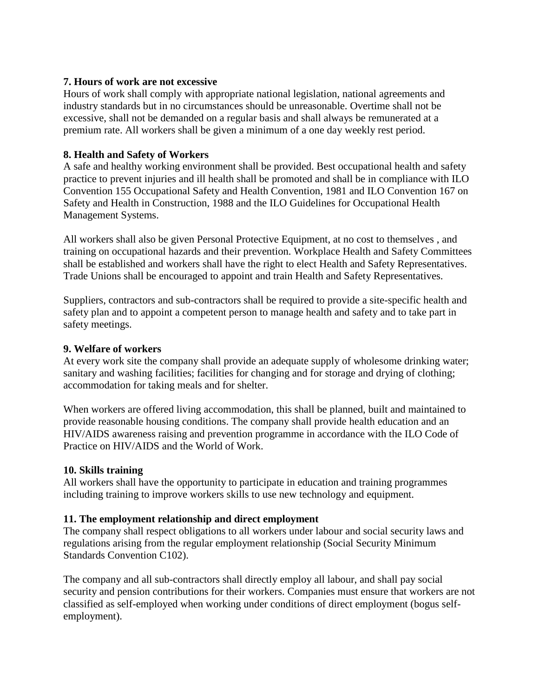#### **7. Hours of work are not excessive**

Hours of work shall comply with appropriate national legislation, national agreements and industry standards but in no circumstances should be unreasonable. Overtime shall not be excessive, shall not be demanded on a regular basis and shall always be remunerated at a premium rate. All workers shall be given a minimum of a one day weekly rest period.

### **8. Health and Safety of Workers**

A safe and healthy working environment shall be provided. Best occupational health and safety practice to prevent injuries and ill health shall be promoted and shall be in compliance with ILO Convention 155 Occupational Safety and Health Convention, 1981 and ILO Convention 167 on Safety and Health in Construction, 1988 and the ILO Guidelines for Occupational Health Management Systems.

All workers shall also be given Personal Protective Equipment, at no cost to themselves , and training on occupational hazards and their prevention. Workplace Health and Safety Committees shall be established and workers shall have the right to elect Health and Safety Representatives. Trade Unions shall be encouraged to appoint and train Health and Safety Representatives.

Suppliers, contractors and sub-contractors shall be required to provide a site-specific health and safety plan and to appoint a competent person to manage health and safety and to take part in safety meetings.

#### **9. Welfare of workers**

At every work site the company shall provide an adequate supply of wholesome drinking water; sanitary and washing facilities; facilities for changing and for storage and drying of clothing; accommodation for taking meals and for shelter.

When workers are offered living accommodation, this shall be planned, built and maintained to provide reasonable housing conditions. The company shall provide health education and an HIV/AIDS awareness raising and prevention programme in accordance with the ILO Code of Practice on HIV/AIDS and the World of Work.

#### **10. Skills training**

All workers shall have the opportunity to participate in education and training programmes including training to improve workers skills to use new technology and equipment.

#### **11. The employment relationship and direct employment**

The company shall respect obligations to all workers under labour and social security laws and regulations arising from the regular employment relationship (Social Security Minimum Standards Convention C102).

The company and all sub-contractors shall directly employ all labour, and shall pay social security and pension contributions for their workers. Companies must ensure that workers are not classified as self-employed when working under conditions of direct employment (bogus selfemployment).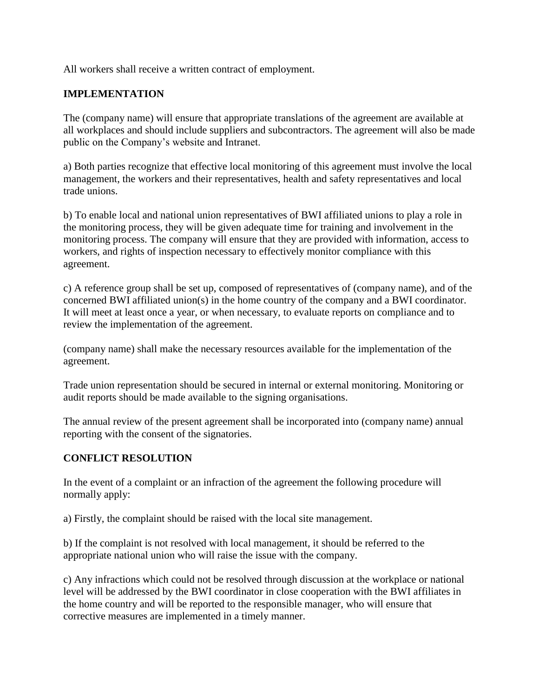All workers shall receive a written contract of employment.

# **IMPLEMENTATION**

The (company name) will ensure that appropriate translations of the agreement are available at all workplaces and should include suppliers and subcontractors. The agreement will also be made public on the Company's website and Intranet.

a) Both parties recognize that effective local monitoring of this agreement must involve the local management, the workers and their representatives, health and safety representatives and local trade unions.

b) To enable local and national union representatives of BWI affiliated unions to play a role in the monitoring process, they will be given adequate time for training and involvement in the monitoring process. The company will ensure that they are provided with information, access to workers, and rights of inspection necessary to effectively monitor compliance with this agreement.

c) A reference group shall be set up, composed of representatives of (company name), and of the concerned BWI affiliated union(s) in the home country of the company and a BWI coordinator. It will meet at least once a year, or when necessary, to evaluate reports on compliance and to review the implementation of the agreement.

(company name) shall make the necessary resources available for the implementation of the agreement.

Trade union representation should be secured in internal or external monitoring. Monitoring or audit reports should be made available to the signing organisations.

The annual review of the present agreement shall be incorporated into (company name) annual reporting with the consent of the signatories.

# **CONFLICT RESOLUTION**

In the event of a complaint or an infraction of the agreement the following procedure will normally apply:

a) Firstly, the complaint should be raised with the local site management.

b) If the complaint is not resolved with local management, it should be referred to the appropriate national union who will raise the issue with the company.

c) Any infractions which could not be resolved through discussion at the workplace or national level will be addressed by the BWI coordinator in close cooperation with the BWI affiliates in the home country and will be reported to the responsible manager, who will ensure that corrective measures are implemented in a timely manner.